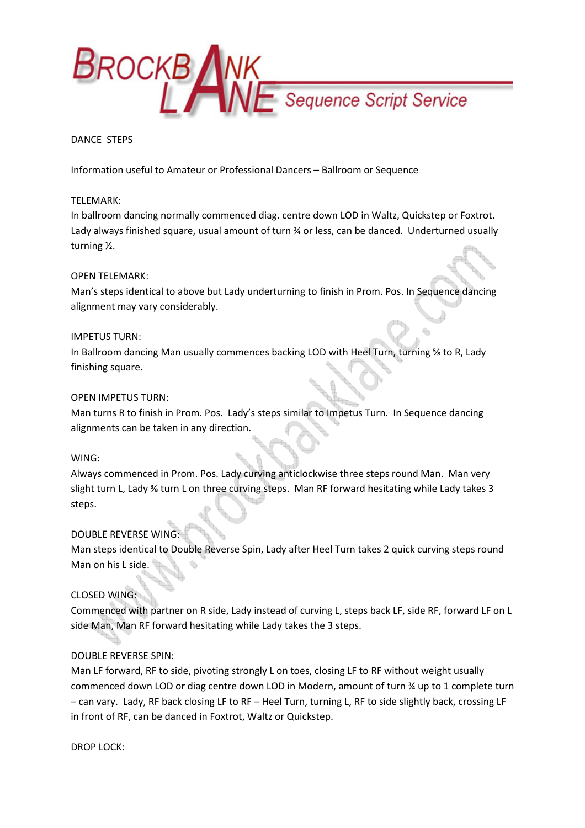

## DANCE STEPS

Information useful to Amateur or Professional Dancers – Ballroom or Sequence

### TELEMARK:

In ballroom dancing normally commenced diag. centre down LOD in Waltz, Quickstep or Foxtrot. Lady always finished square, usual amount of turn % or less, can be danced. Underturned usually turning ½.

## OPEN TELEMARK:

Man's steps identical to above but Lady underturning to finish in Prom. Pos. In Sequence dancing alignment may vary considerably.

### IMPETUS TURN:

In Ballroom dancing Man usually commences backing LOD with Heel Turn, turning % to R, Lady finishing square.

## OPEN IMPETUS TURN:

Man turns R to finish in Prom. Pos. Lady's steps similar to Impetus Turn. In Sequence dancing alignments can be taken in any direction.

### WING:

Always commenced in Prom. Pos. Lady curving anticlockwise three steps round Man. Man very slight turn L, Lady ⅜ turn L on three curving steps. Man RF forward hesitating while Lady takes 3 steps.

# DOUBLE REVERSE WING:

Man steps identical to Double Reverse Spin, Lady after Heel Turn takes 2 quick curving steps round Man on his L side.

# CLOSED WING:

Commenced with partner on R side, Lady instead of curving L, steps back LF, side RF, forward LF on L side Man, Man RF forward hesitating while Lady takes the 3 steps.

### DOUBLE REVERSE SPIN:

Man LF forward, RF to side, pivoting strongly L on toes, closing LF to RF without weight usually commenced down LOD or diag centre down LOD in Modern, amount of turn ¾ up to 1 complete turn – can vary. Lady, RF back closing LF to RF – Heel Turn, turning L, RF to side slightly back, crossing LF in front of RF, can be danced in Foxtrot, Waltz or Quickstep.

DROP LOCK: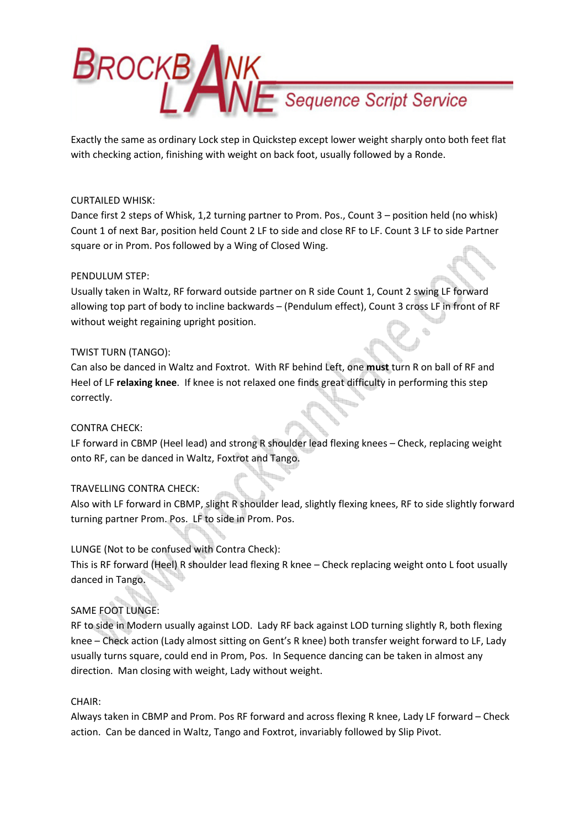

Exactly the same as ordinary Lock step in Quickstep except lower weight sharply onto both feet flat with checking action, finishing with weight on back foot, usually followed by a Ronde.

## CURTAILED WHISK:

Dance first 2 steps of Whisk, 1,2 turning partner to Prom. Pos., Count 3 – position held (no whisk) Count 1 of next Bar, position held Count 2 LF to side and close RF to LF. Count 3 LF to side Partner square or in Prom. Pos followed by a Wing of Closed Wing.

## PENDULUM STEP:

Usually taken in Waltz, RF forward outside partner on R side Count 1, Count 2 swing LF forward allowing top part of body to incline backwards – (Pendulum effect), Count 3 cross LF in front of RF without weight regaining upright position.

## TWIST TURN (TANGO):

Can also be danced in Waltz and Foxtrot. With RF behind Left, one must turn R on ball of RF and Heel of LF relaxing knee. If knee is not relaxed one finds great difficulty in performing this step correctly.

# CONTRA CHECK:

LF forward in CBMP (Heel lead) and strong R shoulder lead flexing knees – Check, replacing weight onto RF, can be danced in Waltz, Foxtrot and Tango.

# TRAVELLING CONTRA CHECK:

Also with LF forward in CBMP, slight R shoulder lead, slightly flexing knees, RF to side slightly forward turning partner Prom. Pos. LF to side in Prom. Pos.

# LUNGE (Not to be confused with Contra Check):

This is RF forward (Heel) R shoulder lead flexing R knee – Check replacing weight onto L foot usually danced in Tango.

# SAME FOOT LUNGE:

RF to side in Modern usually against LOD. Lady RF back against LOD turning slightly R, both flexing knee – Check action (Lady almost sitting on Gent's R knee) both transfer weight forward to LF, Lady usually turns square, could end in Prom, Pos. In Sequence dancing can be taken in almost any direction. Man closing with weight, Lady without weight.

# CHAIR:

Always taken in CBMP and Prom. Pos RF forward and across flexing R knee, Lady LF forward – Check action. Can be danced in Waltz, Tango and Foxtrot, invariably followed by Slip Pivot.